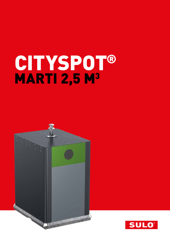# CITYSPOT® **MARTI 2,5 M<sup>3</sup>**

I

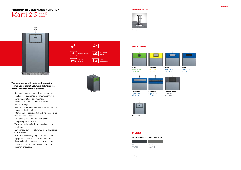LEVEL MEASUREMENT

PAY AS YOU

DISABILITY ACCESS  $\frac{1}{\sqrt{6}}$   $\frac{1}{\sqrt{6}}$ 

## PREMIUM IN DESIGN AND FUNCTION Marti 2,5  $m<sup>3</sup>$

Ã

BILATERAL

莆

 $\left|\left(\left(\begin{smallmatrix} 1 & 1 \\ 1 & 1 \end{smallmatrix}\right) \right)\right|$ 

ACCESS CONTROL

#### **This solid and puristic metal bank allows the optimal use of the full volume and obstacle-free insertion of large-sized recyclables**

**SHOP REPAIRING TO LIKE** 

- Rounded edges and smooth surfaces without dead spaces guarantee maximum comfort in handling, emptying and maintenance
- **Advanced ergonomics due to reduced** throw-in-height
- Best ratio size-useable-space thanks to double chains guided by rollers
- **Interior can be completely filled, no obstacle for** throwing and collecting
- 90° opening flaps mean that emptying is completely friction-free
- The ultimate bank for large recyclables and cardboard
- Large metal surfaces allow full individualisation with stickers
- **Marti is the only recycling bank that can be** equiped with access control for pay as you throw policy. It´s moveability is an advantage in comparison with underground and semiundergroundsystem







#### LIFTING DEVICES



SLOT SYSTEMS\*

**VERTICAL** 

r

 $\blacktriangleright$ )

\* All slot Systems on demand



**Cardboard** Signal Blue RAL 5005

**Cardboard** Signal Blue







RAL 5005

**Residual waste** Slate Grey RAL 7015



**Paper** Signal Blue RAL 5005

**Big user Flap**

#### **COLOURS**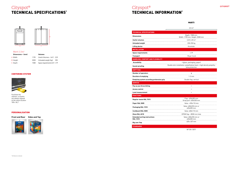| <b>B</b> Height | 2028 | Unloaded weight (kg)                          | 250 |
|-----------------|------|-----------------------------------------------|-----|
| C Depth         | 1508 | Space requirements $\text{[m}^2\text{]}$ 1.79 |     |

| Marti 2,5m <sup>3</sup> |                                            |  |
|-------------------------|--------------------------------------------|--|
| Dimensions $\sim$ (mm)  | Volumes                                    |  |
| A Width                 | $1190$ Useful Volumes ~ $\text{[m3]}$ 2.35 |  |



MARTI

|                                                         | $2,5 \, \text{m}^3$                                                                     |
|---------------------------------------------------------|-----------------------------------------------------------------------------------------|
| <b>TECHNICAL SPECIFICATIONS</b>                         |                                                                                         |
| <b>Dimensions</b>                                       | Depth: 1508 mm,<br>Width: 1190 mm, Height: 2028 mm                                      |
| Useful volumes                                          | $2,25 - 2,35$ m <sup>3</sup>                                                            |
| <b>Unloaded weigth</b>                                  | 230-250 kg                                                                              |
| <b>Lifting device</b>                                   | Kinshofer                                                                               |
| <b>INSTALLATION</b>                                     |                                                                                         |
| <b>Space requirements</b>                               | 1,79                                                                                    |
| <b>Transport</b>                                        | 18 per truck                                                                            |
| HANDLING, COMFORT AND FLEXIBILITY                       |                                                                                         |
| <b>Accesibility</b>                                     | • (glass, packaging, paper)                                                             |
| Sound-proofing                                          | Double skin installation: polyethylene foam + high density polyethy-<br>lene protection |
| <b>EMPTYING</b>                                         |                                                                                         |
| <b>Number of operators</b>                              | ٠                                                                                       |
| <b>Duration of emptying</b>                             | $1-2$ min                                                                               |
| Emptying system according prehension grip               | Double flap, vertical                                                                   |
| <b>SERVICE</b>                                          |                                                                                         |
| Pay as you throw billing                                | $\blacksquare$                                                                          |
| <b>Access control</b>                                   |                                                                                         |
| Level measurement                                       |                                                                                         |
| <b>FRACTIONS</b>                                        |                                                                                         |
| Regular waste RAL 7015                                  | Flap: 620x305 mm<br>Strap port: 620x330 mm                                              |
| Paper RAL 5005                                          | Valve: 490x110 mm                                                                       |
| Packaging RAL 1018                                      | Valve: 400x230 mm or<br>620x305 mm                                                      |
| <b>Cardboard RAL 5005</b>                               | Valve: 600x110 mm                                                                       |
| Glass RAL 6018                                          | EPDM flap - Ø200 mm hole                                                                |
| <b>Extended sorting instructions</b><br><b>RAL 1018</b> | Valve: 400x230 mm or<br>620x305 mm                                                      |
| <b>Big user flap</b>                                    | 620 x 327 mm                                                                            |
| <b>STANDARDS</b>                                        |                                                                                         |

NF EN 13071

## Cityspot® TECHNICAL SPECIFICATIONS\*



Cityspot® TECHNICAL INFORMATION\*



#### CENTERING SYSTEM



Facilitate the stations; so banks are always aligned at the same location 100 x 36,7

**Front and Rear Sides and Top**



#### PERSONALISATION